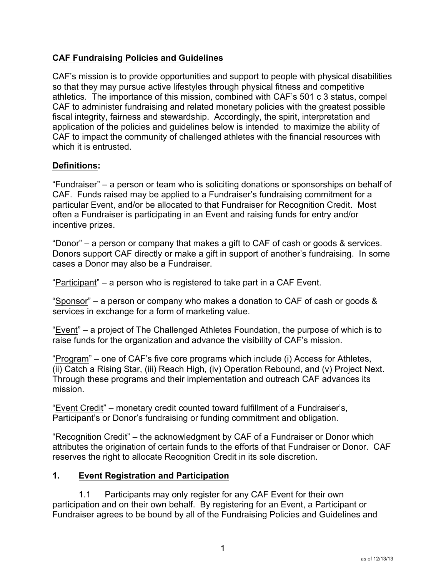## **CAF Fundraising Policies and Guidelines**

CAF's mission is to provide opportunities and support to people with physical disabilities so that they may pursue active lifestyles through physical fitness and competitive athletics. The importance of this mission, combined with CAF's 501 c 3 status, compel CAF to administer fundraising and related monetary policies with the greatest possible fiscal integrity, fairness and stewardship. Accordingly, the spirit, interpretation and application of the policies and guidelines below is intended to maximize the ability of CAF to impact the community of challenged athletes with the financial resources with which it is entrusted.

## **Definitions:**

"Fundraiser" – a person or team who is soliciting donations or sponsorships on behalf of CAF. Funds raised may be applied to a Fundraiser's fundraising commitment for a particular Event, and/or be allocated to that Fundraiser for Recognition Credit. Most often a Fundraiser is participating in an Event and raising funds for entry and/or incentive prizes.

"Donor" – a person or company that makes a gift to CAF of cash or goods & services. Donors support CAF directly or make a gift in support of another's fundraising. In some cases a Donor may also be a Fundraiser.

"Participant" – a person who is registered to take part in a CAF Event.

"Sponsor" – a person or company who makes a donation to CAF of cash or goods & services in exchange for a form of marketing value.

"Event" – a project of The Challenged Athletes Foundation, the purpose of which is to raise funds for the organization and advance the visibility of CAF's mission.

"Program" – one of CAF's five core programs which include (i) Access for Athletes, (ii) Catch a Rising Star, (iii) Reach High, (iv) Operation Rebound, and (v) Project Next. Through these programs and their implementation and outreach CAF advances its mission.

"Event Credit" – monetary credit counted toward fulfillment of a Fundraiser's, Participant's or Donor's fundraising or funding commitment and obligation.

"Recognition Credit" – the acknowledgment by CAF of a Fundraiser or Donor which attributes the origination of certain funds to the efforts of that Fundraiser or Donor. CAF reserves the right to allocate Recognition Credit in its sole discretion.

#### **1. Event Registration and Participation**

1.1 Participants may only register for any CAF Event for their own participation and on their own behalf. By registering for an Event, a Participant or Fundraiser agrees to be bound by all of the Fundraising Policies and Guidelines and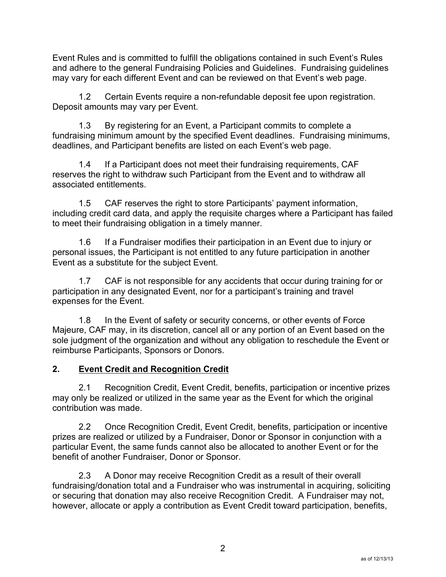Event Rules and is committed to fulfill the obligations contained in such Event's Rules and adhere to the general Fundraising Policies and Guidelines. Fundraising guidelines may vary for each different Event and can be reviewed on that Event's web page.

1.2 Certain Events require a non-refundable deposit fee upon registration. Deposit amounts may vary per Event.

1.3 By registering for an Event, a Participant commits to complete a fundraising minimum amount by the specified Event deadlines. Fundraising minimums, deadlines, and Participant benefits are listed on each Event's web page.

1.4 If a Participant does not meet their fundraising requirements, CAF reserves the right to withdraw such Participant from the Event and to withdraw all associated entitlements.

1.5 CAF reserves the right to store Participants' payment information, including credit card data, and apply the requisite charges where a Participant has failed to meet their fundraising obligation in a timely manner.

1.6 If a Fundraiser modifies their participation in an Event due to injury or personal issues, the Participant is not entitled to any future participation in another Event as a substitute for the subject Event.

1.7 CAF is not responsible for any accidents that occur during training for or participation in any designated Event, nor for a participant's training and travel expenses for the Event.

1.8 In the Event of safety or security concerns, or other events of Force Majeure, CAF may, in its discretion, cancel all or any portion of an Event based on the sole judgment of the organization and without any obligation to reschedule the Event or reimburse Participants, Sponsors or Donors.

# **2. Event Credit and Recognition Credit**

2.1 Recognition Credit, Event Credit, benefits, participation or incentive prizes may only be realized or utilized in the same year as the Event for which the original contribution was made.

2.2 Once Recognition Credit, Event Credit, benefits, participation or incentive prizes are realized or utilized by a Fundraiser, Donor or Sponsor in conjunction with a particular Event, the same funds cannot also be allocated to another Event or for the benefit of another Fundraiser, Donor or Sponsor.

2.3 A Donor may receive Recognition Credit as a result of their overall fundraising/donation total and a Fundraiser who was instrumental in acquiring, soliciting or securing that donation may also receive Recognition Credit. A Fundraiser may not, however, allocate or apply a contribution as Event Credit toward participation, benefits,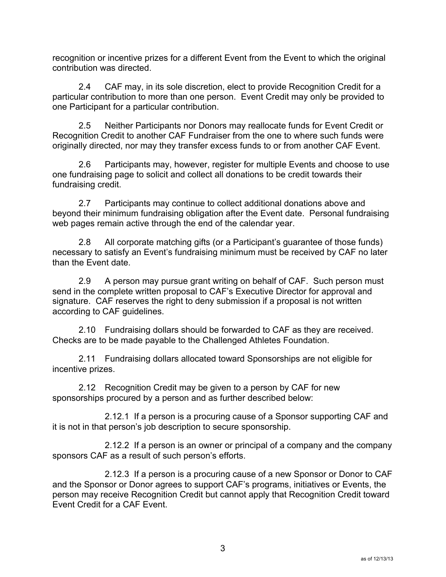recognition or incentive prizes for a different Event from the Event to which the original contribution was directed.

2.4 CAF may, in its sole discretion, elect to provide Recognition Credit for a particular contribution to more than one person. Event Credit may only be provided to one Participant for a particular contribution.

2.5 Neither Participants nor Donors may reallocate funds for Event Credit or Recognition Credit to another CAF Fundraiser from the one to where such funds were originally directed, nor may they transfer excess funds to or from another CAF Event.

2.6 Participants may, however, register for multiple Events and choose to use one fundraising page to solicit and collect all donations to be credit towards their fundraising credit.

2.7 Participants may continue to collect additional donations above and beyond their minimum fundraising obligation after the Event date. Personal fundraising web pages remain active through the end of the calendar year.

2.8 All corporate matching gifts (or a Participant's guarantee of those funds) necessary to satisfy an Event's fundraising minimum must be received by CAF no later than the Event date.

2.9 A person may pursue grant writing on behalf of CAF. Such person must send in the complete written proposal to CAF's Executive Director for approval and signature. CAF reserves the right to deny submission if a proposal is not written according to CAF guidelines.

2.10 Fundraising dollars should be forwarded to CAF as they are received. Checks are to be made payable to the Challenged Athletes Foundation.

2.11 Fundraising dollars allocated toward Sponsorships are not eligible for incentive prizes.

2.12 Recognition Credit may be given to a person by CAF for new sponsorships procured by a person and as further described below:

2.12.1 If a person is a procuring cause of a Sponsor supporting CAF and it is not in that person's job description to secure sponsorship.

2.12.2 If a person is an owner or principal of a company and the company sponsors CAF as a result of such person's efforts.

2.12.3 If a person is a procuring cause of a new Sponsor or Donor to CAF and the Sponsor or Donor agrees to support CAF's programs, initiatives or Events, the person may receive Recognition Credit but cannot apply that Recognition Credit toward Event Credit for a CAF Event.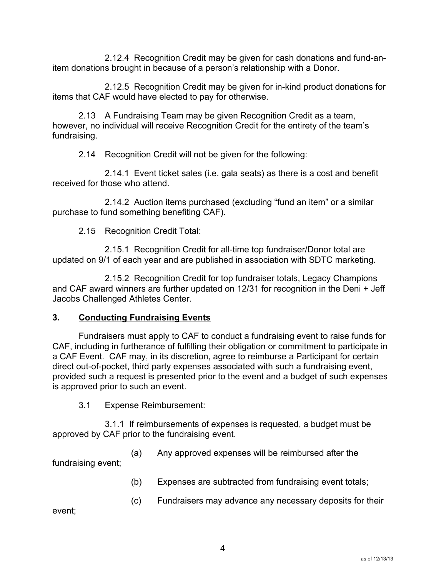2.12.4 Recognition Credit may be given for cash donations and fund-anitem donations brought in because of a person's relationship with a Donor.

2.12.5 Recognition Credit may be given for in-kind product donations for items that CAF would have elected to pay for otherwise.

2.13 A Fundraising Team may be given Recognition Credit as a team, however, no individual will receive Recognition Credit for the entirety of the team's fundraising.

2.14 Recognition Credit will not be given for the following:

2.14.1 Event ticket sales (i.e. gala seats) as there is a cost and benefit received for those who attend.

2.14.2 Auction items purchased (excluding "fund an item" or a similar purchase to fund something benefiting CAF).

2.15 Recognition Credit Total:

2.15.1 Recognition Credit for all-time top fundraiser/Donor total are updated on 9/1 of each year and are published in association with SDTC marketing.

2.15.2 Recognition Credit for top fundraiser totals, Legacy Champions and CAF award winners are further updated on 12/31 for recognition in the Deni + Jeff Jacobs Challenged Athletes Center.

#### **3. Conducting Fundraising Events**

Fundraisers must apply to CAF to conduct a fundraising event to raise funds for CAF, including in furtherance of fulfilling their obligation or commitment to participate in a CAF Event. CAF may, in its discretion, agree to reimburse a Participant for certain direct out-of-pocket, third party expenses associated with such a fundraising event, provided such a request is presented prior to the event and a budget of such expenses is approved prior to such an event.

3.1 Expense Reimbursement:

3.1.1 If reimbursements of expenses is requested, a budget must be approved by CAF prior to the fundraising event.

(a) Any approved expenses will be reimbursed after the

fundraising event;

- (b) Expenses are subtracted from fundraising event totals;
- (c) Fundraisers may advance any necessary deposits for their

event;